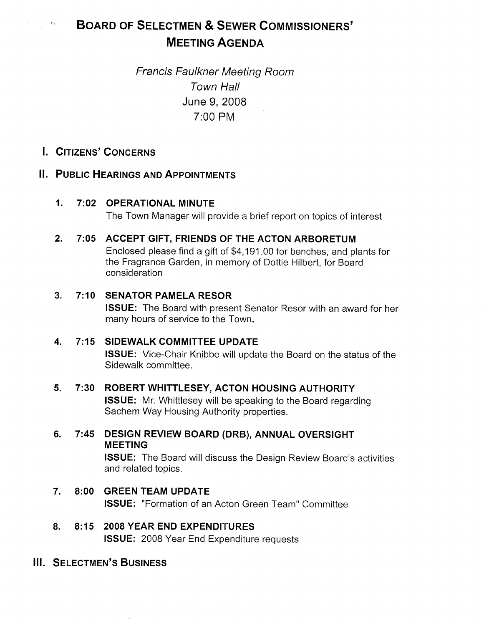# BOARD OF SELECTMEN & SEWER COMMISSIONERS' MEETING AGENDA

# Francis Faulkner Meeting Room Town Hall June 9, 2008 7:00 PM

I. CITIZENS' CONCERNS

 $\sigma_{\gamma}$ 

# II. PUBLIC HEARINGS AND APPOINTMENTS

# 1. 7:02 OPERATIONAL MINUTE

The Town Manager will provide a brief report on topics of interest

# 2. 7:05 ACCEPT GIFT, FRIENDS OF THE ACTON ARBORETUM

Enclosed please find a gift of \$4,191 .00 for benches, and plants for the Fragrance Garden, in memory of Dottie Hilbert, for Board consideration

# 3. 7:10 SENATOR PAMELA RESOR

ISSUE: The Board with present Senator Resor with an award for her many hours of service to the Town.

# 4. 7:15 SIDEWALK COMMITTEE UPDATE

ISSUE: Vice-Chair Knibbe will update the Board on the status of the Sidewalk committee.

# 5. 7:30 ROBERT WHITTLESEY, ACTON HOUSING AUTHORITY

ISSUE: Mr. Whittlesey will be speaking to the Board regarding Sachem Way Housing Authority properties.

6. 7:45 DESIGN REVIEW BOARD (ORB), ANNUAL OVERSIGHT MEETING

> ISSUE: The Board will discuss the Design Review Board's activities and related topics.

- 7. 8:00 GREENTEAM UPDATE ISSUE: "Formation of an Acton Green Team" Committee
- 8. 8:15 2008 YEAR END EXPENDITURES ISSUE: 2008 Year End Expenditure requests

### **III. SELECTMEN'S BUSINESS**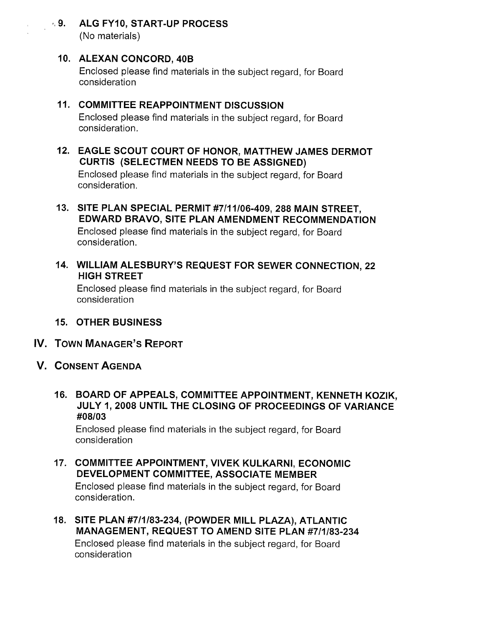**9. ALG FY10, START-UP PROCESS** (No materials)

# 10. ALEXAN CONCORD, 40B

Enclosed please find materials in the subject regard, for Board consideration

# 11. COMMITTEE REAPPOINTMENT DISCUSSION

Enclosed please find materials in the subject regard, for Board consideration.

12. EAGLE SCOUT COURT OF HONOR, MATTHEW JAMES DERMOT CURTIS (SELECTMEN NEEDS TO BE ASSIGNED)

Enclosed please find materials in the subject regard, for Board consideration.

- 13. SITE PLAN SPECIAL PERMIT #7111106-409, 288 MAIN STREET, EDWARD BRAVO, SITE PLAN AMENDMENT RECOMMENDATION Enclosed please find materials in the subject regard, for Board consideration.
- 14. WILLIAM ALESBURY'S REQUEST FOR SEWER CONNECTION, 22 HIGH STREET

Enclosed please find materials in the subject regard, for Board consideration

# 15. OTHER BUSINESS

- IV. TOWN MANAGER'S REPORT
- V. CONSENT AGENDA
	- 16. BOARD OF APPEALS, COMMITTEE APPOINTMENT, KENNETH KOZIK, JULY 1, 2008 UNTIL THE CLOSING OF PROCEEDINGS OF VARIANCE #08103

Enclosed please find materials in the subject regard, for Board consideration

- 17. COMMITTEE APPOINTMENT, VIVEK KULKARNI, ECONOMIC DEVELOPMENT COMMITTEE, ASSOCIATE MEMBER Enclosed please find materials in the subject regard, for Board consideration.
- 18. SITE PLAN #7/1/83-234, (POWDER MILL PLAZA), ATLANTIC MANAGEMENT, REQUEST TO AMEND SITE PLAN #711183-234 Enclosed please find materials in the subject regard, for Board consideration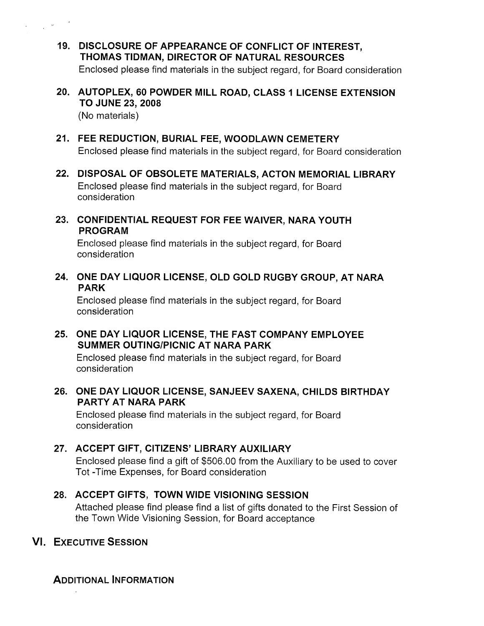- 19. DISCLOSURE OF APPEARANCE OF CONFLICT OF INTEREST, THOMAS TIDMAN, DIRECTOR OF NATURAL RESOURCES Enclosed please find materials in the subject regard, for Board consideration
- 20. AUTOPLEX, 60 POWDER MILL ROAD, CLASS I LICENSE EXTENSION TO JUNE 23, 2008

(No materials)

 $\mathcal{A}_{\mathcal{A}}$  ,  $\mathcal{A}_{\mathcal{A}}$ 

- 21. FEE REDUCTION, BURIAL FEE, WOODLAWN CEMETERY Enclosed please find materials in the subject regard, for Board consideration
- 22. DISPOSAL OF OBSOLETE MATERIALS, ACTON MEMORIAL LIBRARY Enclosed please find materials in the subject regard, for Board consideration
- 23. CONFIDENTIAL REQUEST FOR FEE WAIVER, NARA YOUTH PROGRAM

Enclosed please find materials in the subject regard, for Board consideration

24. ONE DAY LIQUOR LICENSE, OLD GOLD RUGBY GROUP, AT NARA PARK

Enclosed please find materials in the subject regard, for Board consideration

25. ONE DAY LIQUOR LICENSE, THE FAST COMPANY EMPLOYEE SUMMER OUTING/PICNIC AT NARA PARK

Enclosed please find materials in the subject regard, for Board consideration

26. ONE DAY LIQUOR LICENSE, SANJEEV SAXENA, CHILDS BIRTHDAY PARTY AT NARA PARK

Enclosed please find materials in the subject regard, for Board consideration

27. ACCEPT GIFT, CITIZENS' LIBRARY AUXILIARY Enclosed please find a gift of \$506.00 from the Auxiliary to be used to cover Tot -Time Expenses, for Board consideration

# 28. ACCEPT GIFTS, TOWN WIDE VISIONING SESSION

Attached please find please find a list of gifts donated to the First Session of the Town Wide Visioning Session, for Board acceptance

# VI. EXECUTIVE SESSION

ADDITIONAL INFORMATION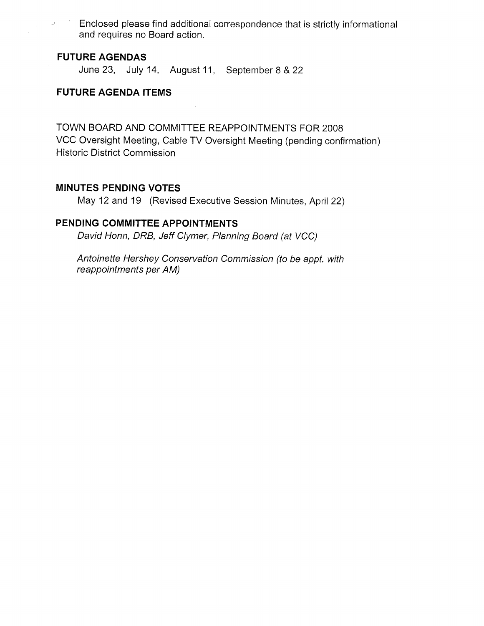Enclosed please find additional correspondence that is strictly informational and requires no Board action.

### FUTURE AGENDAS

 $\omega^{\mathrm{t}}$  ,  $\omega^{\mathrm{t}}$ 

 $\mathcal{L}^{\mathcal{L}}$ 

June 23, July 14, August 11, September 8 & 22

### FUTURE AGENDA ITEMS

TOWN BOARD AND COMMITTEE REAPPOINTMENTS FOR 2008 VCC Oversight Meeting, Cable TV Oversight Meeting (pending confirmation) Historic District Commission

### MINUTES PENDING VOTES

May 12 and 19 (Revised Executive Session Minutes, April 22)

# PENDING COMMITTEE APPOINTMENTS

David Honn, DRB, Jeff Clymer, Planning Board (at VCC)

Antoinette Hershey Conservation Commission (to be appt. with reappointments per AM)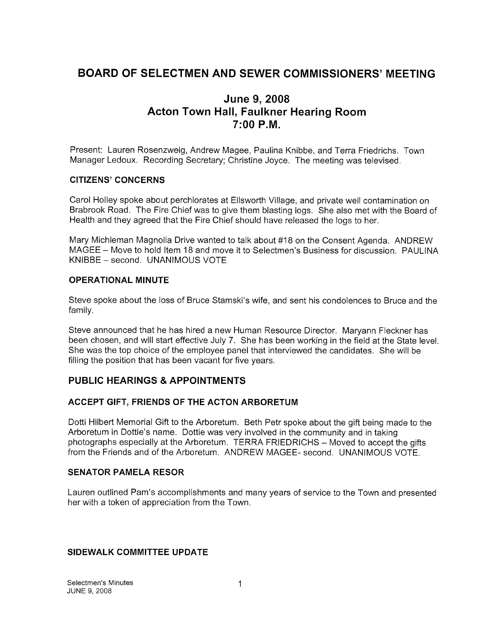# BOARD OF SELECTMEN AND SEWER COMMISSIONERS' MEETING

# June 9, 2008 Acton Town Hall, Faulkner Hearing Room 7:00 P.M.

Present: Lauren Rosenzweig, Andrew Magee, Paulina Knibbe, and Terra Friedrichs. Town Manager Ledoux. Recording Secretary; Christine Joyce. The meeting was televised.

#### CITIZENS' CONCERNS

Carol Holley spoke about perchlorates at Ellsworth Village, and private well contamination on Brabrook Road. The Fire Chief was to give them blasting logs. She also met with the Board of Health and they agreed that the Fire Chief should have released the logs to her.

Mary Michleman Magnolia Drive wanted to talk about #18 on the Consent Agenda. ANDREW MAGEE – Move to hold Item 18 and move it to Selectmen's Business for discussion. PAULINA KNIBBE — second. UNANIMOUS VOTE

#### OPERATIONAL MINUTE

Steve spoke about the loss of Bruce Stamski's wife, and sent his condolences to Bruce and the family.

Steve announced that he has hired a new Human Resource Director. Maryann Fleckner has been chosen, and will start effective July 7. She has been working in the field at the State level. She was the top choice of the employee panel that interviewed the candidates. She will be filling the position that has been vacant for five years.

### PUBLIC HEARINGS & APPOINTMENTS

#### ACCEPT GIFT, FRIENDS OF THE ACTON ARBORETUM

Dotti Hilbert Memorial Gift to the Arboretum. Beth Petr spoke about the gift being made to the Arboretum in Dottie's name. Dottie was very involved in the community and in taking photographs especially at the Arboretum. TERRA FRIEDRICHS — Moved to accept the gifts from the Friends and of the Arboretum. ANDREW MAGEE- second. UNANIMOUS VOTE.

#### SENATOR PAMELA RESOR

Lauren outlined Pam's accomplishments and many years of service to the Town and presented her with a token of appreciation from the Town.

#### SIDEWALK COMMITTEE UPDATE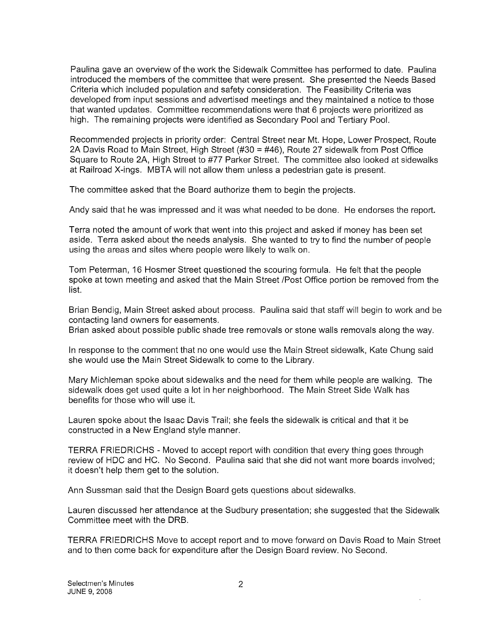Paulina gave an overview of the work the Sidewalk Committee has performed to date. Paulina introduced the members of the committee that were present. She presented the Needs Based Criteria which included population and safety consideration. The Feasibility Criteria was developed from input sessions and advertised meetings and they maintained a notice to those that wanted updates. Committee recommendations were that 6 projects were prioritized as high. The remaining projects were identified as Secondary Pool and Tertiary Pool.

Recommended projects in priority order: Central Street near Mt. Hope, Lower Prospect, Route 2A Davis Road to Main Street, High Street (#30 = #46), Route 27 sidewalk from Post Office Square to Route 2A, High Street to #77 Parker Street. The committee also looked at sidewalks at Railroad X-ings. MBTA will not allow them unless a pedestrian gate is present.

The committee asked that the Board authorize them to begin the projects.

Andy said that he was impressed and it was what needed to be done. He endorses the report.

Terra noted the amount of work that went into this project and asked if money has been set aside. Terra asked about the needs analysis. She wanted to try to find the number of people using the areas and sites where people were likely to walk on.

Tom Peterman, 16 Hosmer Street questioned the scouring formula. He felt that the people spoke at town meeting and asked that the Main Street /Post Office portion be removed from the list.

Brian Bendig, Main Street asked about process. Paulina said that staff will begin to work and be contacting land owners for easements.

Brian asked about possible public shade tree removals or stone walls removals along the way.

In response to the comment that no one would use the Main Street sidewalk, Kate Chung said she would use the Main Street Sidewalk to come to the Library.

Mary Michieman spoke about sidewalks and the need for them while people are walking. The sidewalk does get used quite a lot in her neighborhood. The Main Street Side Walk has benefits for those who will use it.

Lauren spoke about the Isaac Davis Trail; she feels the sidewalk is critical and that it be constructed in a New England style manner.

TERRA FRIEDRICHS - Moved to accept report with condition that every thing goes through review of HDC and HC. No Second. Paulina said that she did not want more boards involved; it doesn't help them get to the solution.

Ann Sussman said that the Design Board gets questions about sidewalks.

Lauren discussed her attendance at the Sudbury presentation; she suggested that the Sidewalk Committee meet with the DRB.

TERRA FRIEDRICHS Move to accept report and to move forward on Davis Road to Main Street and to then come back for expenditure after the Design Board review. No Second.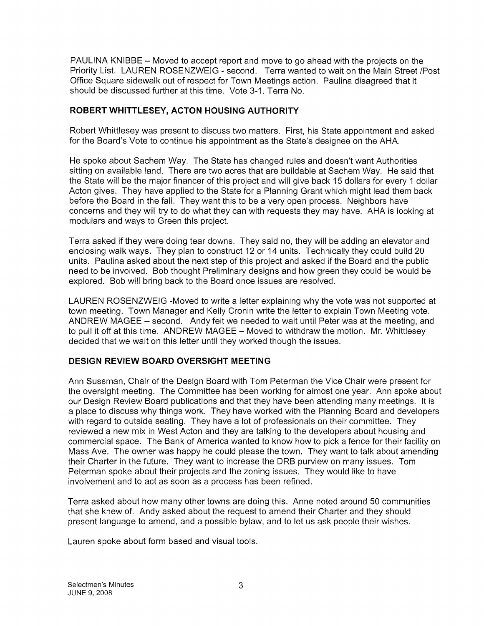PAULINA KNIBBE — Moved to accept report and move to go ahead with the projects on the Priority List. LAUREN ROSENZWEIG - second. Terra wanted to wait on the Main Street /Post Office Square sidewalk out of respect for Town Meetings action. Paulina disagreed that it should be discussed further at this time. Vote 3-1. Terra No.

#### ROBERT WHITTLESEY, ACTON HOUSING AUTHORITY

Robert Whittlesey was present to discuss two matters. First, his State appointment and asked for the Board's Vote to continue his appointment as the State's designee on the AHA.

He spoke about Sachem Way. The State has changed rules and doesn't want Authorities sitting on available land. There are two acres that are buildable at Sachem Way. He said that the State will be the major financer of this project and will give back 15 dollars for every <sup>1</sup> dollar Acton gives. They have applied to the State for a Planning Grant which might lead them back before the Board in the fall. They want this to be a very open process. Neighbors have concerns and they will try to do what they can with requests they may have. AHA is looking at modulars and ways to Green this project.

Terra asked if they were doing tear downs. They said no, they will be adding an elevator and enclosing walk ways. They plan to construct 12 or 14 units. Technically they could build 20 units. Paulina asked about the next step of this project and asked if the Board and the public need to be involved. Bob thought Preliminary designs and how green they could be would be explored. Bob will bring back to the Board once issues are resolved.

LAUREN ROSENZWEIG -Moved to write a letter explaining why the vote was not supported at town meeting. Town Manager and Kelly Cronin write the letter to explain Town Meeting vote. ANDREW MAGEE — second. Andy felt we needed to wait until Peter was at the meeting, and to pull it off at this time. ANDREW MAGEE — Moved to withdraw the motion. Mr. Whittlesey decided that we wait on this letter until they worked though the issues.

### DESIGN REVIEW BOARD OVERSIGHT MEETING

Ann Sussman, Chair of the Design Board with Tom Peterman the Vice Chair were present for the oversight meeting. The Committee has been working for almost one year. Ann spoke about our Design Review Board publications and that they have been attending many meetings. It is a place to discuss why things work. They have worked with the Planning Board and developers with regard to outside seating. They have a lot of professionals on their committee. They reviewed a new mix in West Acton and they are talking to the developers about housing and commercial space. The Bank of America wanted to know how to pick a fence for their facility on Mass Ave. The owner was happy he could please the town. They want to talk about amending their Charter in the future. They want to increase the DRB purview on many issues. Tom Peterman spoke about their projects and the zoning issues. They would like to have involvement and to act as soon as a process has been refined.

Terra asked about how many other towns are doing this. Anne noted around 50 communities that she knew of. Andy asked about the request to amend their Charter and they should present language to amend, and a possible bylaw, and to let us ask people their wishes.

Lauren spoke about form based and visual tools.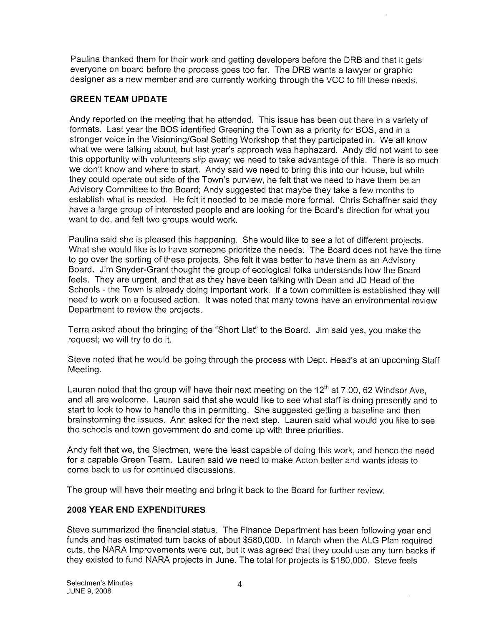Paulina thanked them for their work and getting developers before the DRB and that it gets everyone on board before the process goes too far. The DRB wants a lawyer or graphic designer as a new member and are currently working through the VCC to fill these needs.

#### GREEN TEAM UPDATE

Andy reported on the meeting that he attended. This issue has been out there in a variety of formats. Last year the BOS identified Greening the Town as a priority for BOS, and in a stronger voice in the Visioning/Goal Setting Workshop that they participated in. We all know what we were talking about, but last year's approach was haphazard. Andy did not want to see this opportunity with volunteers slip away; we need to take advantage of this. There is so much we don't know and where to start. Andy said we need to bring this into our house, but while they could operate out side of the Town's purview, he felt that we need to have them be an Advisory Committee to the Board; Andy suggested that maybe they take a few months to establish what is needed. He felt it needed to be made more formal. Chris Schaffner said they have a large group of interested people and are looking for the Board's direction for what you want to do, and felt two groups would work.

Paulina said she is pleased this happening. She would like to see a lot of different projects. What she would like is to have someone prioritize the needs. The Board does not have the time to go over the sorting of these projects. She felt it was better to have them as an Advisory Board. Jim Snyder-Grant thought the group of ecological folks understands how the Board feels. They are urgent, and that as they have been talking with Dean and JD Head of the Schools - the Town is already doing important work. If a town committee is established they will need to work on a focused action. It was noted that many towns have an environmental review Department to review the projects.

Terra asked about the bringing of the 'Short List" to the Board. Jim said yes, you make the request; we will try to do it.

Steve noted that he would be going through the process with Dept. Head's at an upcoming Staff Meeting.

Lauren noted that the group will have their next meeting on the  $12<sup>th</sup>$  at 7:00, 62 Windsor Ave, and all are welcome. Lauren said that she would like to see what staff is doing presently and to start to look to how to handle this in permitting. She suggested getting a baseline and then brainstorming the issues. Ann asked for the next step. Lauren said what would you like to see the schools and town government do and come up with three priorities.

Andy felt that we, the Slectmen, were the least capable of doing this work, and hence the need for a capable Green Team. Lauren said we need to make Acton better and wants ideas to come back to us for continued discussions.

The group will have their meeting and bring it back to the Board for further review.

#### 2008 YEAR END EXPENDITURES

Steve summarized the financial status. The Finance Department has been following year end funds and has estimated turn backs of about \$580,000. In March when the ALG Plan required cuts, the NARA Improvements were cut, but it was agreed that they could use any turn backs if they existed to fund NARA projects in June. The total for projects is \$180,000. Steve feels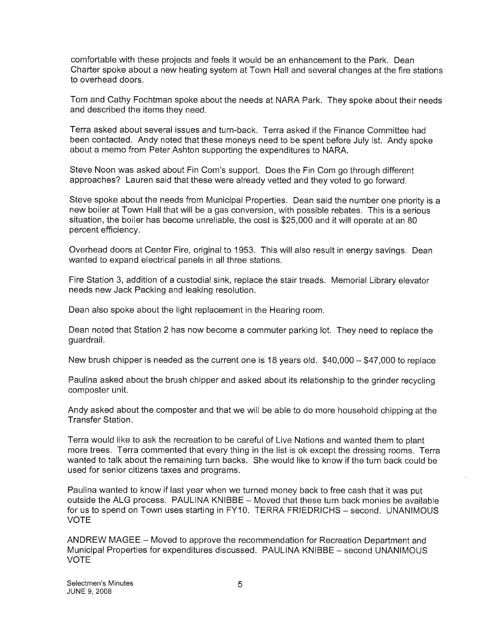comfortable with these projects and feels it would be an enhancement to the Park. Dean Charter spoke about a new heating system at Town Hall and several changes at the fire stations to overhead doors.

Tom and Cathy Fochtman spoke about the needs at NARA Park. They spoke about their needs and described the items they need.

Terra asked about several issues and turn-back. Terra asked if the Finance Committee had been contacted. Andy noted that these moneys need to be spent before July 1st. Andy spoke about a memo from Peter Ashton supporting the expenditures to NARA.

Steve Noon was asked about Fin Com's support. Does the Fin Com go through different approaches? Lauren said that these were already vetted and they voted to go forward.

Steve spoke about the needs from Municipal Properties. Dean said the number one priority is a new boiler at Town Hall that will be a gas conversion, with possible rebates. This is a serious situation, the boiler has become unreliable, the cost is \$25,000 and it will operate at an 80 percent efficiency.

Overhead doors at Center Fire, original to 1953. This will also result in energy savings. Dean wanted to expand electrical panels in all three stations.

Fire Station 3, addition of a custodial sink, replace the stair treads. Memorial Library elevator needs new Jack Packing and leaking resolution.

Dean also spoke about the light replacement in the Hearing room.

Dean noted that Station 2 has now become a commuter parking lot. They need to replace the guardrail.

New brush chipper is needed as the current one is 18 years old. \$40,000 - \$47,000 to replace

Paulina asked about the brush chipper and asked about its relationship to the grinder recycling composter unit.

Andy asked about the composter and that we will be able to do more household chipping at the Transfer Station.

Terra would like to ask the recreation to be careful of Live Nations and wanted them to plant more trees. Terra commented that every thing in the list is ok except the dressing rooms. Terra wanted to talk about the remaining turn backs. She would like to know if the turn back could be used for senior citizens taxes and programs.

Paulina wanted to know if last year when we turned money back to free cash that it was put outside the ALG process. PAULINA KNIBBE — Moved that these turn back monies be available for us to spend on Town uses starting in FY10. TERRA FRIEDRICHS — second. UNANIMOUS VOTE

ANDREW MAGEE — Moved to approve the recommendation for Recreation Department and Municipal Properties for expenditures discussed. PAULINA KNIBBE — second UNANIMOUS VOTE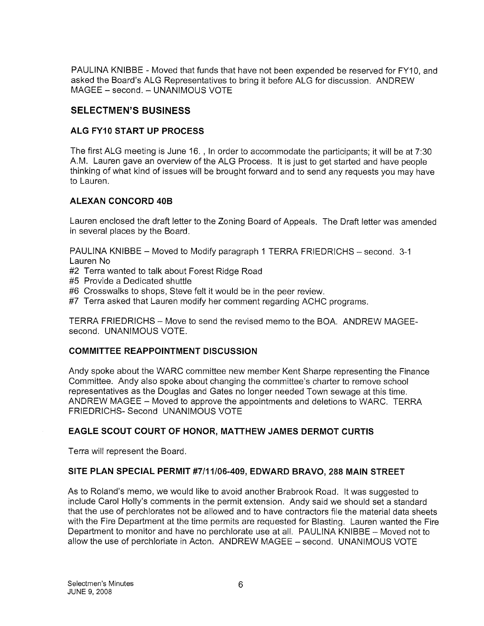PAULINA KNIBBE - Moved that funds that have not been expended be reserved for FY10, and asked the Board's ALG Representatives to bring it before ALG for discussion. ANDREW MAGEE — second. — UNANIMOUS VOTE

## SELECTMEN'S BUSINESS

## ALG FY10 START UP PROCESS

The first ALG meeting is June 16. , In order to accommodate the participants; it will be at 7:30 A.M. Lauren gave an overview of the ALG Process. It is just to get started and have people thinking of what kind of issues will be brought forward and to send any requests you may have to Lauren.

# ALEXAN CONCORD 40B

Lauren enclosed the draft letter to the Zoning Board of Appeals. The Draft letter was amended in several places by the Board.

PAULINA KNIBBE — Moved to Modify paragraph <sup>1</sup> TERRA FRIEDRICHS — second. 3-1 Lauren No

- #2 Terra wanted to talk about Forest Ridge Road
- #5 Provide a Dedicated shuttle
- #6 Crosswalks to shops, Steve felt it would be in the peer review.
- #7 Terra asked that Lauren modify her comment regarding ACHC programs.

TERRA FRIEDRICHS — Move to send the revised memo to the BOA. ANDREW MAGEE second. UNANIMOUS VOTE.

### COMMITTEE REAPPOINTMENT DISCUSSION

Andy spoke about the WARC committee new member Kent Sharpe representing the Finance Committee. Andy also spoke about changing the committee's charter to remove school representatives as the Douglas and Gates no longer needed Town sewage at this time. ANDREW MAGEE — Moved to approve the appointments and deletions to WARC. TERRA FRIEDRICHS- Second UNANIMOUS VOTE

### EAGLE SCOUT COURT OF HONOR, MATTHEW JAMES DERMOT CURTIS

Terra will represent the Board.

### SITE PLAN SPECIAL PERMIT #7/11/06-409, EDWARD BRAVO, 288 MAIN STREET

As to Roland's memo, we would like to avoid another Brabrook Road. It was suggested to include Carol Holly's comments in the permit extension. Andy said we should set a standard that the use of perchlorates not be allowed and to have contractors file the material data sheets with the Fire Department at the time permits are requested for Blasting. Lauren wanted the Fire Department to monitor and have no perchlorate use at all. PAULINA KNIBBE — Moved not to allow the use of perchloriate in Acton. ANDREW MAGEE — second. UNANIMOUS VOTE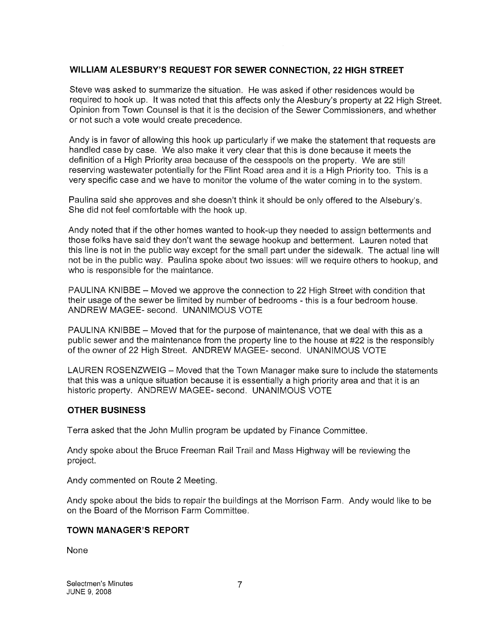### WILLIAM ALESBURY'S REQUEST FOR SEWER CONNECTION, 22 HIGH STREET

Steve was asked to summarize the situation. He was asked if other residences would be required to hook up. It was noted that this affects only the Alesbury's property at 22 High Street. Opinion from Town Counsel is that it is the decision of the Sewer Commissioners, and whether or not such a vote would create precedence.

Andy is in favor of allowing this hook up particularly if we make the statement that requests are handled case by case. We also make it very clear that this is done because it meets the definition of a High Priority area because of the cesspools on the property. We are still reserving wastewater potentially for the Flint Road area and it is a High Priority too. This is a very specific case and we have to monitor the volume of the water coming in to the system.

Paulina said she approves and she doesn't think it should be only offered to the Alsebury's. She did not feel comfortable with the hook up.

Andy noted that if the other homes wanted to hook-up they needed to assign betterments and those folks have said they don't want the sewage hookup and betterment. Lauren noted that this line is not in the public way except for the small part under the sidewalk. The actual line will not be in the public way. Paulina spoke about two issues: will we require others to hookup, and who is responsible for the maintance.

PAULINA KNIBBE — Moved we approve the connection to 22 High Street with condition that their usage of the sewer be limited by number of bedrooms - this is a four bedroom house. ANDREW MAGEE- second. UNANIMOUS VOTE

PAULINA KNIBBE — Moved that for the purpose of maintenance, that we deal with this as a public sewer and the maintenance from the property line to the house at #22 is the responsibly of the owner of 22 High Street. ANDREW MAGEE- second. UNANIMOUS VOTE

LAUREN ROSENZWEIG — Moved that the Town Manager make sure to include the statements that this was a unique situation because it is essentially a high priority area and that it is an historic property. ANDREW MAGEE- second. UNANIMOUS VOTE

#### OTHER BUSINESS

Terra asked that the John Mullin program be updated by Finance Committee.

Andy spoke about the Bruce Freeman Rail Trail and Mass Highway will be reviewing the project.

Andy commented on Route 2 Meeting.

Andy spoke about the bids to repair the buildings at the Morrison Farm. Andy would like to be on the Board of the Morrison Farm Committee.

#### TOWN MANAGER'S REPORT

None